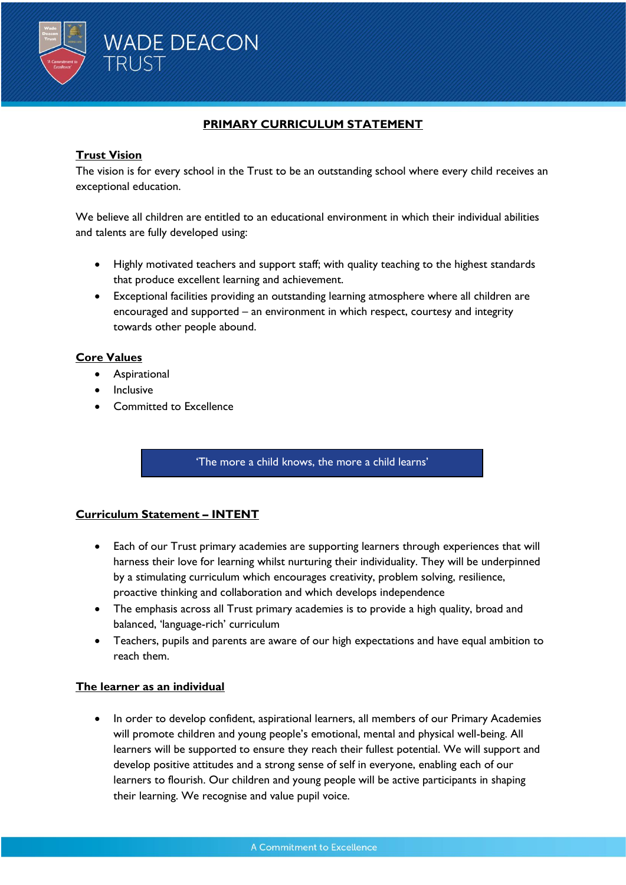

## **PRIMARY CURRICULUM STATEMENT**

## **Trust Vision**

The vision is for every school in the Trust to be an outstanding school where every child receives an exceptional education.

We believe all children are entitled to an educational environment in which their individual abilities and talents are fully developed using:

- Highly motivated teachers and support staff; with quality teaching to the highest standards that produce excellent learning and achievement.
- Exceptional facilities providing an outstanding learning atmosphere where all children are encouraged and supported – an environment in which respect, courtesy and integrity towards other people abound.

### **Core Values**

- Aspirational
- Inclusive
- Committed to Excellence

#### 'The more a child knows, the more a child learns'

### **Curriculum Statement – INTENT**

- Each of our Trust primary academies are supporting learners through experiences that will harness their love for learning whilst nurturing their individuality. They will be underpinned by a stimulating curriculum which encourages creativity, problem solving, resilience, proactive thinking and collaboration and which develops independence
- The emphasis across all Trust primary academies is to provide a high quality, broad and balanced, 'language-rich' curriculum
- Teachers, pupils and parents are aware of our high expectations and have equal ambition to reach them.

#### **The learner as an individual**

• In order to develop confident, aspirational learners, all members of our Primary Academies will promote children and young people's emotional, mental and physical well-being. All learners will be supported to ensure they reach their fullest potential. We will support and develop positive attitudes and a strong sense of self in everyone, enabling each of our learners to flourish. Our children and young people will be active participants in shaping their learning. We recognise and value pupil voice.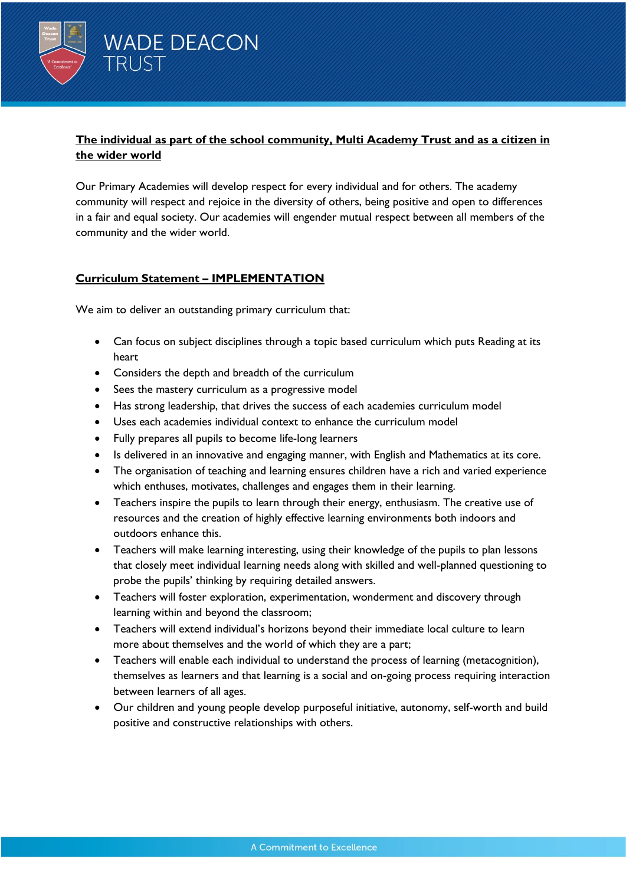

# **The individual as part of the school community, Multi Academy Trust and as a citizen in the wider world**

Our Primary Academies will develop respect for every individual and for others. The academy community will respect and rejoice in the diversity of others, being positive and open to differences in a fair and equal society. Our academies will engender mutual respect between all members of the community and the wider world.

### **Curriculum Statement – IMPLEMENTATION**

We aim to deliver an outstanding primary curriculum that:

- Can focus on subject disciplines through a topic based curriculum which puts Reading at its heart
- Considers the depth and breadth of the curriculum
- Sees the mastery curriculum as a progressive model
- Has strong leadership, that drives the success of each academies curriculum model
- Uses each academies individual context to enhance the curriculum model
- Fully prepares all pupils to become life-long learners
- Is delivered in an innovative and engaging manner, with English and Mathematics at its core.
- The organisation of teaching and learning ensures children have a rich and varied experience which enthuses, motivates, challenges and engages them in their learning.
- Teachers inspire the pupils to learn through their energy, enthusiasm. The creative use of resources and the creation of highly effective learning environments both indoors and outdoors enhance this.
- Teachers will make learning interesting, using their knowledge of the pupils to plan lessons that closely meet individual learning needs along with skilled and well-planned questioning to probe the pupils' thinking by requiring detailed answers.
- Teachers will foster exploration, experimentation, wonderment and discovery through learning within and beyond the classroom;
- Teachers will extend individual's horizons beyond their immediate local culture to learn more about themselves and the world of which they are a part;
- Teachers will enable each individual to understand the process of learning (metacognition), themselves as learners and that learning is a social and on-going process requiring interaction between learners of all ages.
- Our children and young people develop purposeful initiative, autonomy, self-worth and build positive and constructive relationships with others.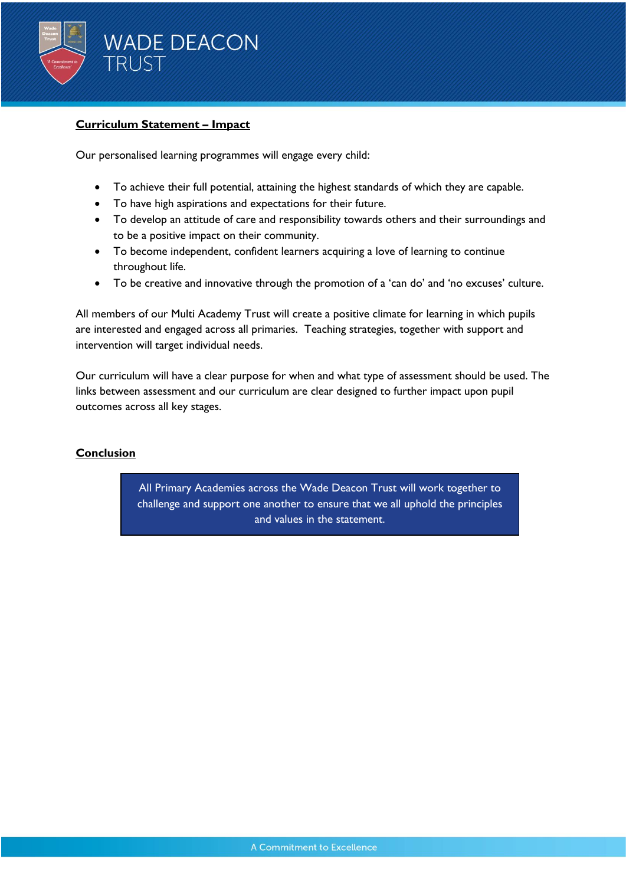

### **Curriculum Statement – Impact**

Our personalised learning programmes will engage every child:

- To achieve their full potential, attaining the highest standards of which they are capable.
- To have high aspirations and expectations for their future.
- To develop an attitude of care and responsibility towards others and their surroundings and to be a positive impact on their community.
- To become independent, confident learners acquiring a love of learning to continue throughout life.
- To be creative and innovative through the promotion of a 'can do' and 'no excuses' culture.

All members of our Multi Academy Trust will create a positive climate for learning in which pupils are interested and engaged across all primaries. Teaching strategies, together with support and intervention will target individual needs.

Our curriculum will have a clear purpose for when and what type of assessment should be used. The links between assessment and our curriculum are clear designed to further impact upon pupil outcomes across all key stages.

## **Conclusion**

All Primary Academies across the Wade Deacon Trust will work together to challenge and support one another to ensure that we all uphold the principles and values in the statement.